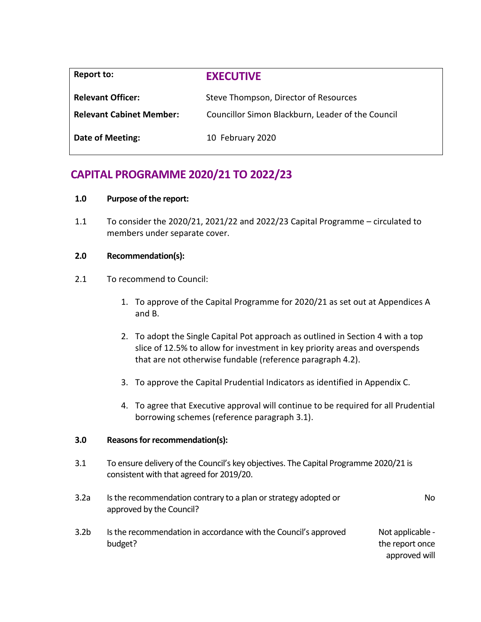| Report to:                      | <b>EXECUTIVE</b>                                  |
|---------------------------------|---------------------------------------------------|
| <b>Relevant Officer:</b>        | Steve Thompson, Director of Resources             |
| <b>Relevant Cabinet Member:</b> | Councillor Simon Blackburn, Leader of the Council |
| Date of Meeting:                | 10 February 2020                                  |

# **CAPITAL PROGRAMME 2020/21 TO 2022/23**

# **1.0 Purpose of the report:**

1.1 To consider the 2020/21, 2021/22 and 2022/23 Capital Programme – circulated to members under separate cover.

# **2.0 Recommendation(s):**

- 2.1 To recommend to Council:
	- 1. To approve of the Capital Programme for 2020/21 as set out at Appendices A and B.
	- 2. To adopt the Single Capital Pot approach as outlined in Section 4 with a top slice of 12.5% to allow for investment in key priority areas and overspends that are not otherwise fundable (reference paragraph 4.2).
	- 3. To approve the Capital Prudential Indicators as identified in Appendix C.
	- 4. To agree that Executive approval will continue to be required for all Prudential borrowing schemes (reference paragraph 3.1).

# **3.0 Reasons for recommendation(s):**

3.1 To ensure delivery of the Council's key objectives. The Capital Programme 2020/21 is consistent with that agreed for 2019/20.

| 3.2a             | Is the recommendation contrary to a plan or strategy adopted or<br>approved by the Council? | No.                                                  |
|------------------|---------------------------------------------------------------------------------------------|------------------------------------------------------|
| 3.2 <sub>b</sub> | Is the recommendation in accordance with the Council's approved<br>budget?                  | Not applicable -<br>the report once<br>approved will |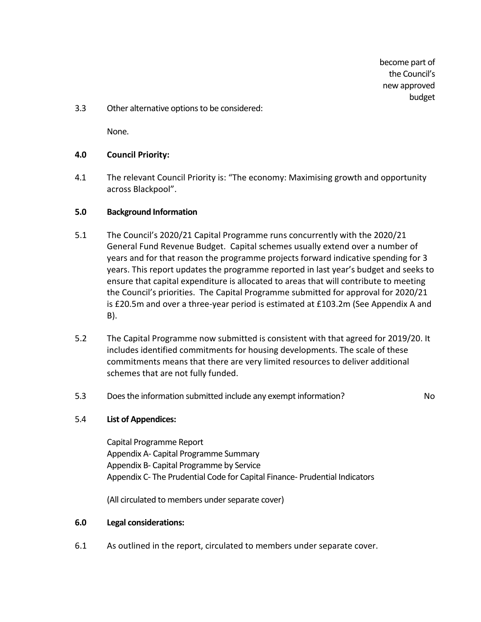become part of the Council's new approved budget

3.3 Other alternative options to be considered:

None.

## **4.0 Council Priority:**

4.1 The relevant Council Priority is: "The economy: Maximising growth and opportunity across Blackpool".

#### **5.0 Background Information**

- 5.1 The Council's 2020/21 Capital Programme runs concurrently with the 2020/21 General Fund Revenue Budget. Capital schemes usually extend over a number of years and for that reason the programme projects forward indicative spending for 3 years. This report updates the programme reported in last year's budget and seeks to ensure that capital expenditure is allocated to areas that will contribute to meeting the Council's priorities. The Capital Programme submitted for approval for 2020/21 is £20.5m and over a three-year period is estimated at £103.2m (See Appendix A and B).
- 5.2 The Capital Programme now submitted is consistent with that agreed for 2019/20. It includes identified commitments for housing developments. The scale of these commitments means that there are very limited resources to deliver additional schemes that are not fully funded.
- 5.3 Does the information submitted include any exempt information? No

# 5.4 **List of Appendices:**

Capital Programme Report Appendix A- Capital Programme Summary Appendix B- Capital Programme by Service Appendix C- The Prudential Code for Capital Finance- Prudential Indicators

(All circulated to members under separate cover)

#### **6.0 Legal considerations:**

6.1 As outlined in the report, circulated to members under separate cover.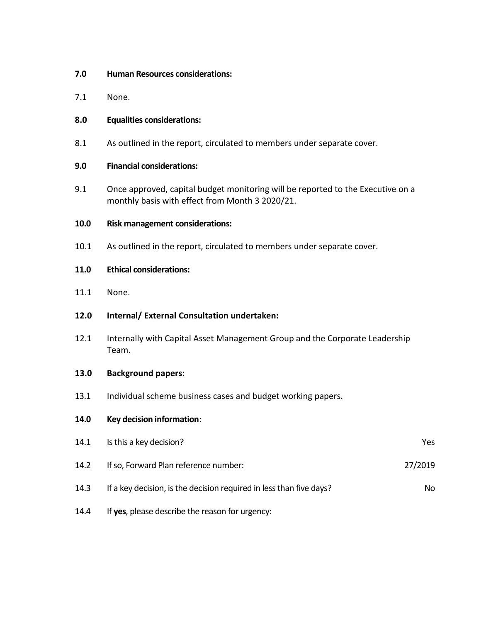- **7.0 Human Resources considerations:**
- 7.1 None.

## **8.0 Equalities considerations:**

8.1 As outlined in the report, circulated to members under separate cover.

## **9.0 Financial considerations:**

9.1 Once approved, capital budget monitoring will be reported to the Executive on a monthly basis with effect from Month 3 2020/21.

## **10.0 Risk management considerations:**

10.1 As outlined in the report, circulated to members under separate cover.

## **11.0 Ethical considerations:**

11.1 None.

# **12.0 Internal/ External Consultation undertaken:**

12.1 Internally with Capital Asset Management Group and the Corporate Leadership Team.

#### **13.0 Background papers:**

13.1 Individual scheme business cases and budget working papers.

#### **14.0 Key decision information**:

| 14.1 | Is this a key decision?                                             | Yes.    |
|------|---------------------------------------------------------------------|---------|
| 14.2 | If so, Forward Plan reference number:                               | 27/2019 |
| 14.3 | If a key decision, is the decision required in less than five days? | No.     |
|      |                                                                     |         |

14.4 If **yes**, please describe the reason for urgency: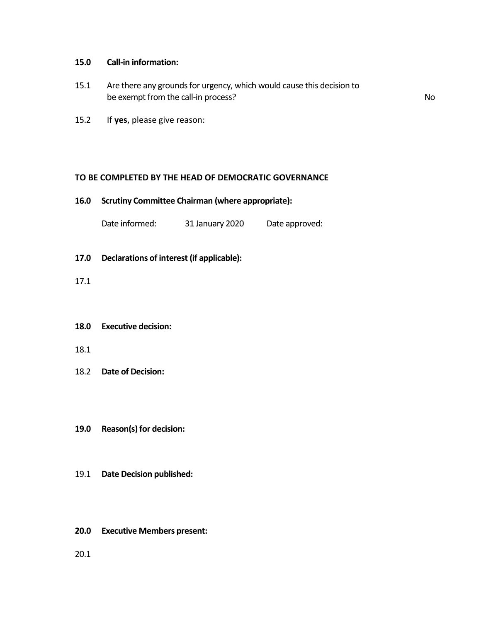## **15.0 Call-in information:**

- 15.1 Are there any grounds for urgency, which would cause this decision to be exempt from the call-in process? No
- 15.2 If **yes**, please give reason:

## **TO BE COMPLETED BY THE HEAD OF DEMOCRATIC GOVERNANCE**

#### **16.0 Scrutiny Committee Chairman (where appropriate):**

Date informed: 31 January 2020 Date approved:

- **17.0 Declarations of interest (if applicable):**
- 17.1

#### **18.0 Executive decision:**

- 18.1
- 18.2 **Date of Decision:**
- **19.0 Reason(s) for decision:**
- 19.1 **Date Decision published:**
- **20.0 Executive Members present:**
- 20.1